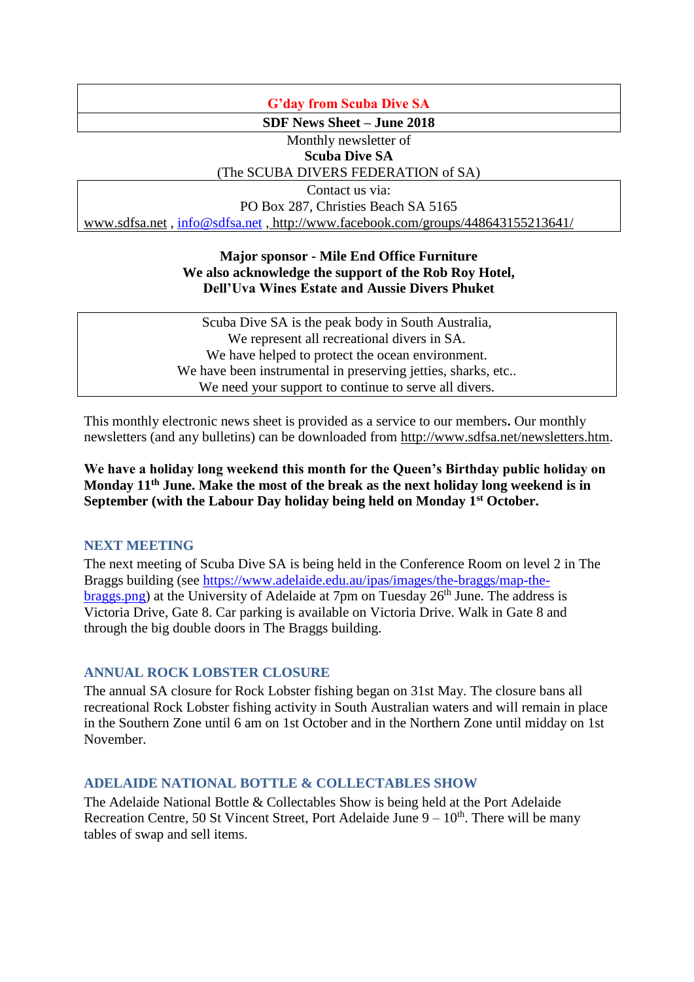## **G'day from Scuba Dive SA**

**SDF News Sheet – June 2018**

Monthly newsletter of **Scuba Dive SA**

# (The SCUBA DIVERS FEDERATION of SA)

Contact us via:

PO Box 287, Christies Beach SA 5165

[www.sdfsa.net](http://www.sdfsa.net/) , [info@sdfsa.net](mailto:info@sdfsa.net) , <http://www.facebook.com/groups/448643155213641/>

## **Major sponsor - Mile End Office Furniture We also acknowledge the support of the Rob Roy Hotel, Dell'Uva Wines Estate and Aussie Divers Phuket**

Scuba Dive SA is the peak body in South Australia, We represent all recreational divers in SA. We have helped to protect the ocean environment. We have been instrumental in preserving jetties, sharks, etc... We need your support to continue to serve all divers.

This monthly electronic news sheet is provided as a service to our members**.** Our monthly newsletters (and any bulletins) can be downloaded from [http://www.sdfsa.net/newsletters.htm.](http://www.sdfsa.net/newsletters.htm)

**We have a holiday long weekend this month for the Queen's Birthday public holiday on Monday 11th June. Make the most of the break as the next holiday long weekend is in September (with the Labour Day holiday being held on Monday 1st October.**

## **NEXT MEETING**

The next meeting of Scuba Dive SA is being held in the Conference Room on level 2 in The Braggs building (see [https://www.adelaide.edu.au/ipas/images/the-braggs/map-the](https://www.adelaide.edu.au/ipas/images/the-braggs/map-the-braggs.png) $braggs.png$ ) at the University of Adelaide at 7pm on Tuesday  $26<sup>th</sup>$  June. The address is Victoria Drive, Gate 8. Car parking is available on Victoria Drive. Walk in Gate 8 and through the big double doors in The Braggs building.

## **ANNUAL ROCK LOBSTER CLOSURE**

The annual SA closure for Rock Lobster fishing began on 31st May. The closure bans all recreational Rock Lobster fishing activity in South Australian waters and will remain in place in the Southern Zone until 6 am on 1st October and in the Northern Zone until midday on 1st November.

## **ADELAIDE NATIONAL BOTTLE & COLLECTABLES SHOW**

The Adelaide National Bottle & Collectables Show is being held at the Port Adelaide Recreation Centre, 50 St Vincent Street, Port Adelaide June  $9 - 10<sup>th</sup>$ . There will be many tables of swap and sell items.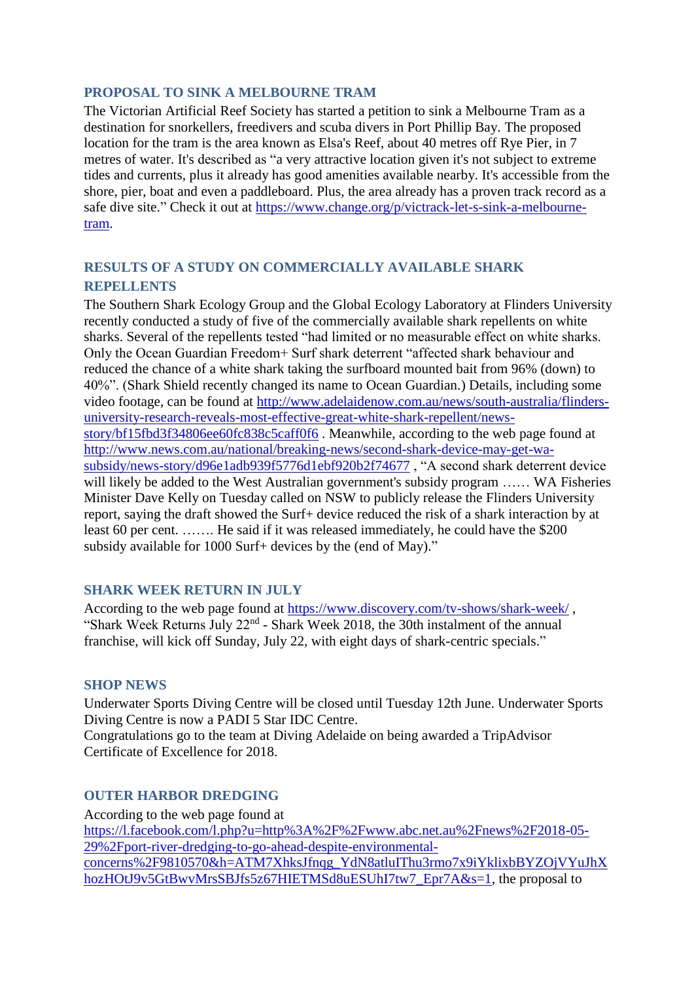## **PROPOSAL TO SINK A MELBOURNE TRAM**

The Victorian Artificial Reef Society has started a petition to sink a Melbourne Tram as a destination for snorkellers, freedivers and scuba divers in Port Phillip Bay. The proposed location for the tram is the area known as Elsa's Reef, about 40 metres off Rye Pier, in 7 metres of water. It's described as "a very attractive location given it's not subject to extreme tides and currents, plus it already has good amenities available nearby. It's accessible from the shore, pier, boat and even a paddleboard. Plus, the area already has a proven track record as a safe dive site." Check it out at [https://www.change.org/p/victrack-let-s-sink-a-melbourne](https://www.change.org/p/victrack-let-s-sink-a-melbourne-tram?recruiter=112199935&utm_source=share_petition&utm_medium=facebook_link&utm_campaign=share_for_starters_page)[tram.](https://www.change.org/p/victrack-let-s-sink-a-melbourne-tram?recruiter=112199935&utm_source=share_petition&utm_medium=facebook_link&utm_campaign=share_for_starters_page)

# **RESULTS OF A STUDY ON COMMERCIALLY AVAILABLE SHARK REPELLENTS**

The Southern Shark Ecology Group and the Global Ecology Laboratory at Flinders University recently conducted a study of five of the commercially available shark repellents on white sharks. Several of the repellents tested "had limited or no measurable effect on white sharks. Only the Ocean Guardian Freedom+ Surf shark deterrent "affected shark behaviour and reduced the chance of a white shark taking the surfboard mounted bait from 96% (down) to 40%". (Shark Shield recently changed its name to Ocean Guardian.) Details, including some video footage, can be found at [http://www.adelaidenow.com.au/news/south-australia/flinders](http://www.adelaidenow.com.au/news/south-australia/flinders-university-research-reveals-most-effective-great-white-shark-repellent/news-story/bf15fbd3f34806ee60fc838c5caff0f6)[university-research-reveals-most-effective-great-white-shark-repellent/news](http://www.adelaidenow.com.au/news/south-australia/flinders-university-research-reveals-most-effective-great-white-shark-repellent/news-story/bf15fbd3f34806ee60fc838c5caff0f6)[story/bf15fbd3f34806ee60fc838c5caff0f6](http://www.adelaidenow.com.au/news/south-australia/flinders-university-research-reveals-most-effective-great-white-shark-repellent/news-story/bf15fbd3f34806ee60fc838c5caff0f6) . Meanwhile, according to the web page found at [http://www.news.com.au/national/breaking-news/second-shark-device-may-get-wa](http://www.news.com.au/national/breaking-news/second-shark-device-may-get-wa-subsidy/news-story/d96e1adb939f5776d1ebf920b2f74677)[subsidy/news-story/d96e1adb939f5776d1ebf920b2f74677](http://www.news.com.au/national/breaking-news/second-shark-device-may-get-wa-subsidy/news-story/d96e1adb939f5776d1ebf920b2f74677) , "A second shark deterrent device will likely be added to the West Australian government's subsidy program ...... WA Fisheries Minister Dave Kelly on Tuesday called on NSW to publicly release the Flinders University report, saying the draft showed the Surf+ device reduced the risk of a shark interaction by at least 60 per cent. ……. He said if it was released immediately, he could have the \$200 subsidy available for 1000 Surf+ devices by the (end of May)."

## **SHARK WEEK RETURN IN JULY**

According to the web page found at<https://www.discovery.com/tv-shows/shark-week/> , "Shark Week Returns July 22<sup>nd</sup> - Shark Week 2018, the 30th instalment of the annual franchise, will kick off Sunday, July 22, with eight days of shark-centric specials."

## **SHOP NEWS**

Underwater Sports Diving Centre will be closed until Tuesday 12th June. Underwater Sports Diving Centre is now a PADI 5 Star IDC Centre.

Congratulations go to the team at Diving Adelaide on being awarded a TripAdvisor Certificate of Excellence for 2018.

### **OUTER HARBOR DREDGING**

According to the web page found at [https://l.facebook.com/l.php?u=http%3A%2F%2Fwww.abc.net.au%2Fnews%2F2018-05-](https://l.facebook.com/l.php?u=http%3A%2F%2Fwww.abc.net.au%2Fnews%2F2018-05-29%2Fport-river-dredging-to-go-ahead-despite-environmental-concerns%2F9810570&h=ATM7XhksJfnqg_YdN8atluIThu3rmo7x9iYklixbBYZOjVYuJhXhozHOtJ9v5GtBwvMrsSBJfs5z67HIETMSd8uESUhI7tw7_Epr7A&s=1) [29%2Fport-river-dredging-to-go-ahead-despite-environmental](https://l.facebook.com/l.php?u=http%3A%2F%2Fwww.abc.net.au%2Fnews%2F2018-05-29%2Fport-river-dredging-to-go-ahead-despite-environmental-concerns%2F9810570&h=ATM7XhksJfnqg_YdN8atluIThu3rmo7x9iYklixbBYZOjVYuJhXhozHOtJ9v5GtBwvMrsSBJfs5z67HIETMSd8uESUhI7tw7_Epr7A&s=1)[concerns%2F9810570&h=ATM7XhksJfnqg\\_YdN8atluIThu3rmo7x9iYklixbBYZOjVYuJhX](https://l.facebook.com/l.php?u=http%3A%2F%2Fwww.abc.net.au%2Fnews%2F2018-05-29%2Fport-river-dredging-to-go-ahead-despite-environmental-concerns%2F9810570&h=ATM7XhksJfnqg_YdN8atluIThu3rmo7x9iYklixbBYZOjVYuJhXhozHOtJ9v5GtBwvMrsSBJfs5z67HIETMSd8uESUhI7tw7_Epr7A&s=1) [hozHOtJ9v5GtBwvMrsSBJfs5z67HIETMSd8uESUhI7tw7\\_Epr7A&s=1,](https://l.facebook.com/l.php?u=http%3A%2F%2Fwww.abc.net.au%2Fnews%2F2018-05-29%2Fport-river-dredging-to-go-ahead-despite-environmental-concerns%2F9810570&h=ATM7XhksJfnqg_YdN8atluIThu3rmo7x9iYklixbBYZOjVYuJhXhozHOtJ9v5GtBwvMrsSBJfs5z67HIETMSd8uESUhI7tw7_Epr7A&s=1) the proposal to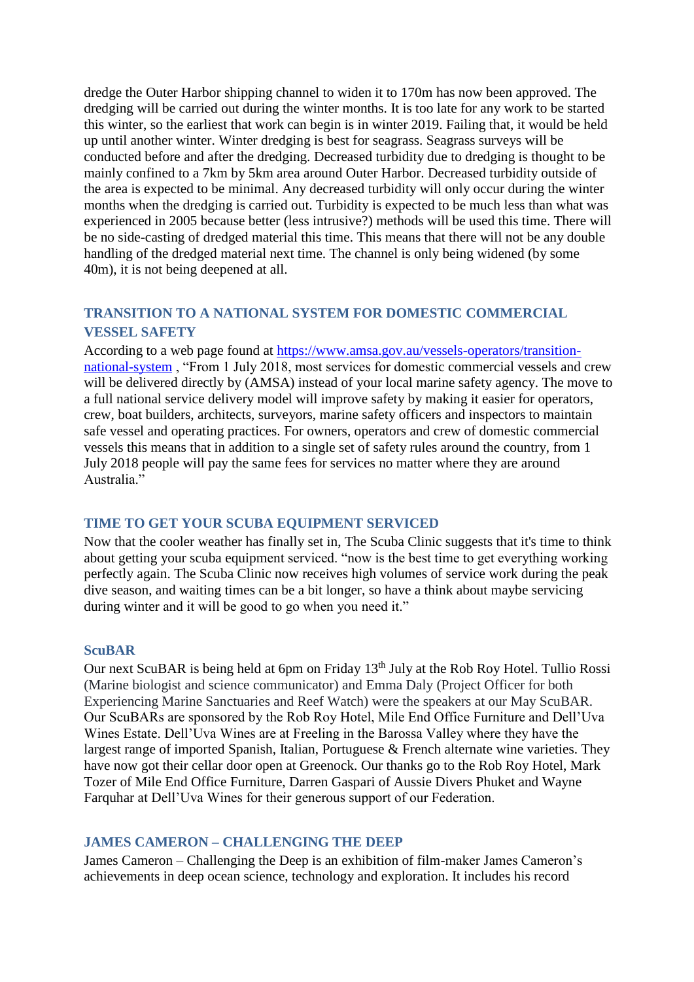dredge the Outer Harbor shipping channel to widen it to 170m has now been approved. The dredging will be carried out during the winter months. It is too late for any work to be started this winter, so the earliest that work can begin is in winter 2019. Failing that, it would be held up until another winter. Winter dredging is best for seagrass. Seagrass surveys will be conducted before and after the dredging. Decreased turbidity due to dredging is thought to be mainly confined to a 7km by 5km area around Outer Harbor. Decreased turbidity outside of the area is expected to be minimal. Any decreased turbidity will only occur during the winter months when the dredging is carried out. Turbidity is expected to be much less than what was experienced in 2005 because better (less intrusive?) methods will be used this time. There will be no side-casting of dredged material this time. This means that there will not be any double handling of the dredged material next time. The channel is only being widened (by some 40m), it is not being deepened at all.

# **TRANSITION TO A NATIONAL SYSTEM FOR DOMESTIC COMMERCIAL VESSEL SAFETY**

According to a web page found at [https://www.amsa.gov.au/vessels-operators/transition](https://www.amsa.gov.au/vessels-operators/transition-national-system)[national-system](https://www.amsa.gov.au/vessels-operators/transition-national-system) , "From 1 July 2018, most services for domestic commercial vessels and crew will be delivered directly by (AMSA) instead of your local marine safety agency. The move to a full national service delivery model will improve safety by making it easier for operators, crew, boat builders, architects, surveyors, marine safety officers and inspectors to maintain safe vessel and operating practices. For owners, operators and crew of domestic commercial vessels this means that in addition to a single set of safety rules around the country, from 1 July 2018 people will pay the same fees for services no matter where they are around Australia."

## **TIME TO GET YOUR SCUBA EQUIPMENT SERVICED**

Now that the cooler weather has finally set in, The Scuba Clinic suggests that it's time to think about getting your scuba equipment serviced. "now is the best time to get everything working perfectly again. The Scuba Clinic now receives high volumes of service work during the peak dive season, and waiting times can be a bit longer, so have a think about maybe servicing during winter and it will be good to go when you need it."

### **ScuBAR**

Our next ScuBAR is being held at 6pm on Friday 13<sup>th</sup> July at the Rob Roy Hotel. Tullio Rossi (Marine biologist and science communicator) and Emma Daly (Project Officer for both Experiencing Marine Sanctuaries and Reef Watch) were the speakers at our May ScuBAR. Our ScuBARs are sponsored by the Rob Roy Hotel, Mile End Office Furniture and Dell'Uva Wines Estate. Dell'Uva Wines are at Freeling in the Barossa Valley where they have the largest range of imported Spanish, Italian, Portuguese & French alternate wine varieties. They have now got their cellar door open at Greenock. Our thanks go to the Rob Roy Hotel, Mark Tozer of Mile End Office Furniture, Darren Gaspari of Aussie Divers Phuket and Wayne Farquhar at Dell'Uva Wines for their generous support of our Federation.

## **JAMES CAMERON – CHALLENGING THE DEEP**

James Cameron – Challenging the Deep is an exhibition of film-maker James Cameron's achievements in deep ocean science, technology and exploration. It includes his record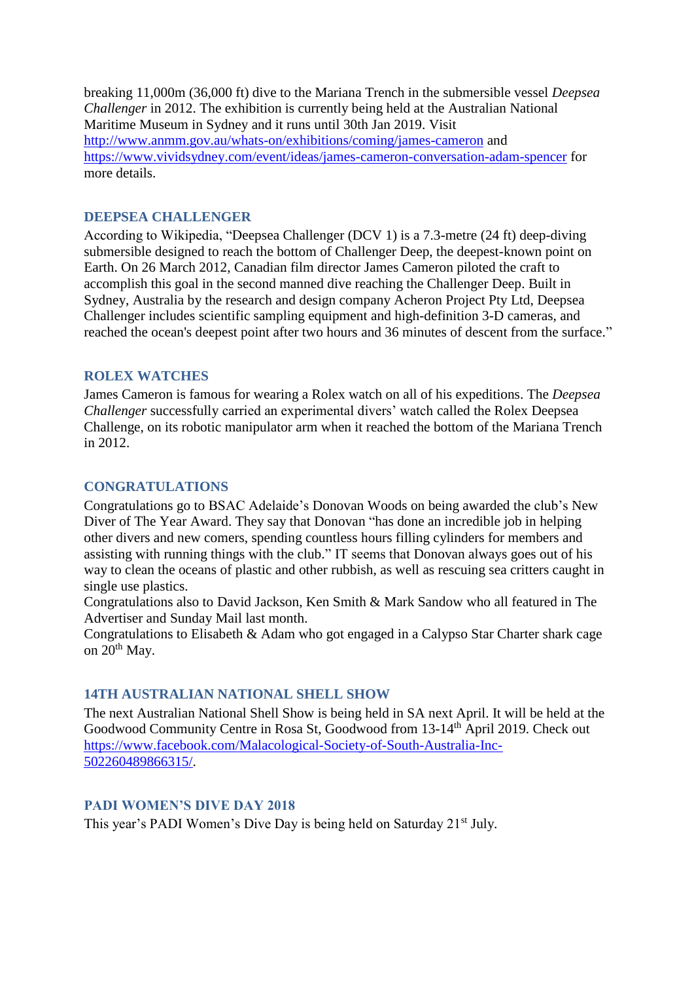breaking 11,000m (36,000 ft) dive to the Mariana Trench in the submersible vessel *Deepsea Challenger* in 2012. The exhibition is currently being held at the Australian National Maritime Museum in Sydney and it runs until 30th Jan 2019. Visit <http://www.anmm.gov.au/whats-on/exhibitions/coming/james-cameron> and <https://www.vividsydney.com/event/ideas/james-cameron-conversation-adam-spencer> for more details.

## **DEEPSEA CHALLENGER**

According to Wikipedia, "Deepsea Challenger (DCV 1) is a 7.3-metre (24 ft) deep-diving submersible designed to reach the bottom of Challenger Deep, the deepest-known point on Earth. On 26 March 2012, Canadian film director James Cameron piloted the craft to accomplish this goal in the second manned dive reaching the Challenger Deep. Built in Sydney, Australia by the research and design company Acheron Project Pty Ltd, Deepsea Challenger includes scientific sampling equipment and high-definition 3-D cameras, and reached the ocean's deepest point after two hours and 36 minutes of descent from the surface."

### **ROLEX WATCHES**

James Cameron is famous for wearing a Rolex watch on all of his expeditions. The *Deepsea Challenger* successfully carried an experimental divers' watch called the Rolex Deepsea Challenge, on its robotic manipulator arm when it reached the bottom of the Mariana Trench in 2012.

## **CONGRATULATIONS**

Congratulations go to BSAC Adelaide's Donovan Woods on being awarded the club's New Diver of The Year Award. They say that Donovan "has done an incredible job in helping other divers and new comers, spending countless hours filling cylinders for members and assisting with running things with the club." IT seems that Donovan always goes out of his way to clean the oceans of plastic and other rubbish, as well as rescuing sea critters caught in single use plastics.

Congratulations also to David Jackson, Ken Smith & Mark Sandow who all featured in The Advertiser and Sunday Mail last month.

Congratulations to Elisabeth & Adam who got engaged in a Calypso Star Charter shark cage on  $20^{th}$  May.

### **14TH AUSTRALIAN NATIONAL SHELL SHOW**

The next Australian National Shell Show is being held in SA next April. It will be held at the Goodwood Community Centre in Rosa St, Goodwood from 13-14th April 2019. Check out [https://www.facebook.com/Malacological-Society-of-South-Australia-Inc-](https://www.facebook.com/Malacological-Society-of-South-Australia-Inc-502260489866315/)[502260489866315/.](https://www.facebook.com/Malacological-Society-of-South-Australia-Inc-502260489866315/)

### **PADI WOMEN'S DIVE DAY 2018**

This year's PADI Women's Dive Day is being held on Saturday 21<sup>st</sup> July.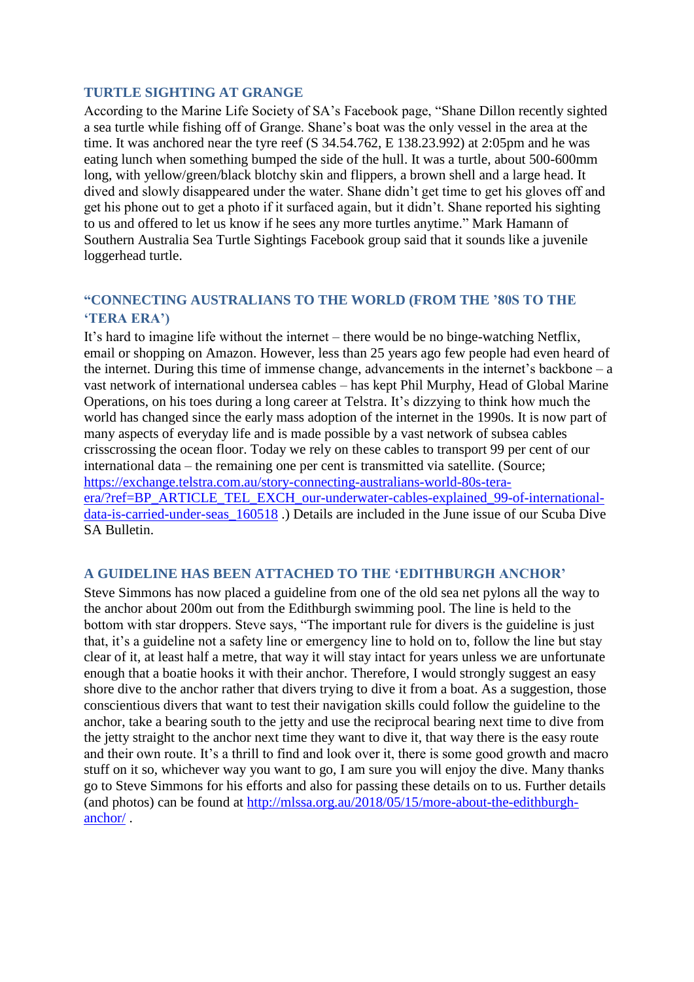### **TURTLE SIGHTING AT GRANGE**

According to the Marine Life Society of SA's Facebook page, "Shane Dillon recently sighted a sea turtle while fishing off of Grange. Shane's boat was the only vessel in the area at the time. It was anchored near the tyre reef (S 34.54.762, E 138.23.992) at 2:05pm and he was eating lunch when something bumped the side of the hull. It was a turtle, about 500-600mm long, with yellow/green/black blotchy skin and flippers, a brown shell and a large head. It dived and slowly disappeared under the water. Shane didn't get time to get his gloves off and get his phone out to get a photo if it surfaced again, but it didn't. Shane reported his sighting to us and offered to let us know if he sees any more turtles anytime." Mark Hamann of Southern Australia Sea Turtle Sightings Facebook group said that it sounds like a juvenile loggerhead turtle.

# **"CONNECTING AUSTRALIANS TO THE WORLD (FROM THE '80S TO THE 'TERA ERA')**

It's hard to imagine life without the internet – there would be no binge-watching Netflix, email or shopping on Amazon. However, less than 25 years ago few people had even heard of the internet. During this time of immense change, advancements in the internet's backbone – a vast network of international undersea cables – has kept Phil Murphy, Head of Global Marine Operations, on his toes during a long career at Telstra. It's dizzying to think how much the world has changed since the early mass adoption of the internet in the 1990s. It is now part of many aspects of everyday life and is made possible by a vast network of subsea cables crisscrossing the ocean floor. Today we rely on these cables to transport 99 per cent of our international data – the remaining one per cent is transmitted via satellite. (Source; [https://exchange.telstra.com.au/story-connecting-australians-world-80s-tera](https://exchange.telstra.com.au/story-connecting-australians-world-80s-tera-era/?ref=BP_ARTICLE_TEL_EXCH_our-underwater-cables-explained_99-of-international-data-is-carried-under-seas_160518)[era/?ref=BP\\_ARTICLE\\_TEL\\_EXCH\\_our-underwater-cables-explained\\_99-of-international](https://exchange.telstra.com.au/story-connecting-australians-world-80s-tera-era/?ref=BP_ARTICLE_TEL_EXCH_our-underwater-cables-explained_99-of-international-data-is-carried-under-seas_160518)[data-is-carried-under-seas\\_160518](https://exchange.telstra.com.au/story-connecting-australians-world-80s-tera-era/?ref=BP_ARTICLE_TEL_EXCH_our-underwater-cables-explained_99-of-international-data-is-carried-under-seas_160518) .) Details are included in the June issue of our Scuba Dive SA Bulletin.

### **A GUIDELINE HAS BEEN ATTACHED TO THE 'EDITHBURGH ANCHOR'**

Steve Simmons has now placed a guideline from one of the old sea net pylons all the way to the anchor about 200m out from the Edithburgh swimming pool. The line is held to the bottom with star droppers. Steve says, "The important rule for divers is the guideline is just that, it's a guideline not a safety line or emergency line to hold on to, follow the line but stay clear of it, at least half a metre, that way it will stay intact for years unless we are unfortunate enough that a boatie hooks it with their anchor. Therefore, I would strongly suggest an easy shore dive to the anchor rather that divers trying to dive it from a boat. As a suggestion, those conscientious divers that want to test their navigation skills could follow the guideline to the anchor, take a bearing south to the jetty and use the reciprocal bearing next time to dive from the jetty straight to the anchor next time they want to dive it, that way there is the easy route and their own route. It's a thrill to find and look over it, there is some good growth and macro stuff on it so, whichever way you want to go, I am sure you will enjoy the dive. Many thanks go to Steve Simmons for his efforts and also for passing these details on to us. Further details (and photos) can be found at [http://mlssa.org.au/2018/05/15/more-about-the-edithburgh](http://mlssa.org.au/2018/05/15/more-about-the-edithburgh-anchor/)[anchor/](http://mlssa.org.au/2018/05/15/more-about-the-edithburgh-anchor/) .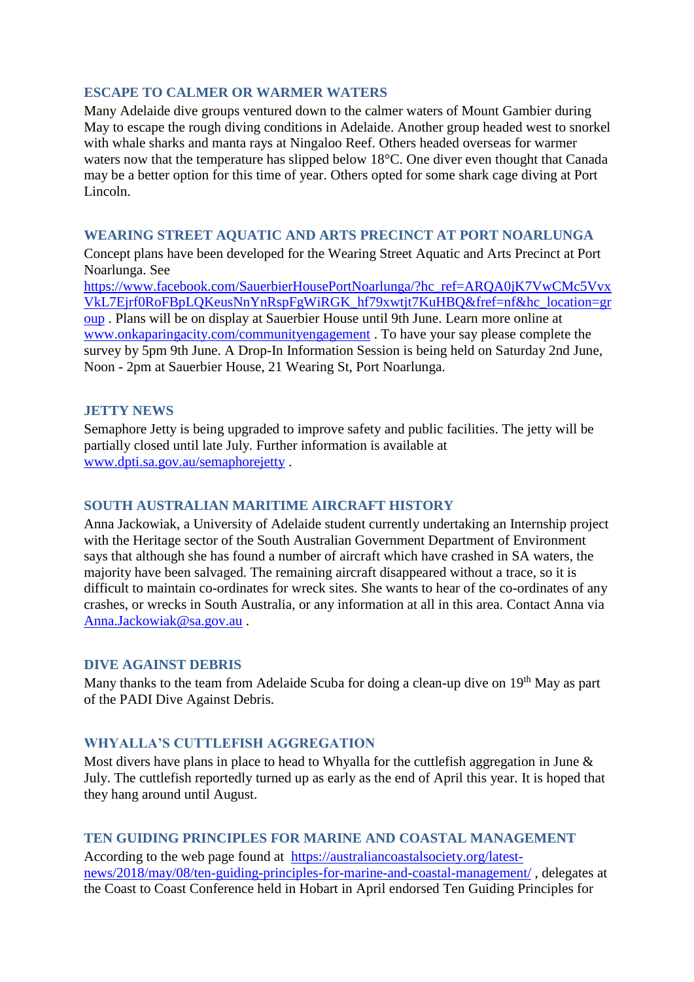## **ESCAPE TO CALMER OR WARMER WATERS**

Many Adelaide dive groups ventured down to the calmer waters of Mount Gambier during May to escape the rough diving conditions in Adelaide. Another group headed west to snorkel with whale sharks and manta rays at Ningaloo Reef. Others headed overseas for warmer waters now that the temperature has slipped below 18°C. One diver even thought that Canada may be a better option for this time of year. Others opted for some shark cage diving at Port Lincoln.

### **WEARING STREET AQUATIC AND ARTS PRECINCT AT PORT NOARLUNGA**

Concept plans have been developed for the Wearing Street Aquatic and Arts Precinct at Port Noarlunga. See

[https://www.facebook.com/SauerbierHousePortNoarlunga/?hc\\_ref=ARQA0jK7VwCMc5Vvx](https://www.facebook.com/SauerbierHousePortNoarlunga/?hc_ref=ARQA0jK7VwCMc5VvxVkL7Ejrf0RoFBpLQKeusNnYnRspFgWiRGK_hf79xwtjt7KuHBQ&fref=nf&hc_location=group) [VkL7Ejrf0RoFBpLQKeusNnYnRspFgWiRGK\\_hf79xwtjt7KuHBQ&fref=nf&hc\\_location=gr](https://www.facebook.com/SauerbierHousePortNoarlunga/?hc_ref=ARQA0jK7VwCMc5VvxVkL7Ejrf0RoFBpLQKeusNnYnRspFgWiRGK_hf79xwtjt7KuHBQ&fref=nf&hc_location=group) [oup](https://www.facebook.com/SauerbierHousePortNoarlunga/?hc_ref=ARQA0jK7VwCMc5VvxVkL7Ejrf0RoFBpLQKeusNnYnRspFgWiRGK_hf79xwtjt7KuHBQ&fref=nf&hc_location=group) . Plans will be on display at Sauerbier House until 9th June. Learn more online at [www.onkaparingacity.com/communityengagement](http://www.onkaparingacity.com/communityengagement) . To have your say please complete the survey by 5pm 9th June. A Drop-In Information Session is being held on Saturday 2nd June, Noon - 2pm at Sauerbier House, 21 Wearing St, Port Noarlunga.

### **JETTY NEWS**

Semaphore Jetty is being upgraded to improve safety and public facilities. The jetty will be partially closed until late July. Further information is available at [www.dpti.sa.gov.au/semaphorejetty](http://www.dpti.sa.gov.au/semaphorejetty) .

## **SOUTH AUSTRALIAN MARITIME AIRCRAFT HISTORY**

Anna Jackowiak, a University of Adelaide student currently undertaking an Internship project with the Heritage sector of the South Australian Government Department of Environment says that although she has found a number of aircraft which have crashed in SA waters, the majority have been salvaged. The remaining aircraft disappeared without a trace, so it is difficult to maintain co-ordinates for wreck sites. She wants to hear of the co-ordinates of any crashes, or wrecks in South Australia, or any information at all in this area. Contact Anna via [Anna.Jackowiak@sa.gov.au](mailto:Anna.Jackowiak@sa.gov.au) .

### **DIVE AGAINST DEBRIS**

Many thanks to the team from Adelaide Scuba for doing a clean-up dive on 19<sup>th</sup> May as part of the PADI Dive Against Debris.

## **WHYALLA'S CUTTLEFISH AGGREGATION**

Most divers have plans in place to head to Whyalla for the cuttlefish aggregation in June & July. The cuttlefish reportedly turned up as early as the end of April this year. It is hoped that they hang around until August.

### **TEN GUIDING PRINCIPLES FOR MARINE AND COASTAL MANAGEMENT**

According to the web page found at [https://australiancoastalsociety.org/latest](https://australiancoastalsociety.org/latest-news/2018/may/08/ten-guiding-principles-for-marine-and-coastal-management/)[news/2018/may/08/ten-guiding-principles-for-marine-and-coastal-management/](https://australiancoastalsociety.org/latest-news/2018/may/08/ten-guiding-principles-for-marine-and-coastal-management/) , delegates at the Coast to Coast Conference held in Hobart in April endorsed Ten Guiding Principles for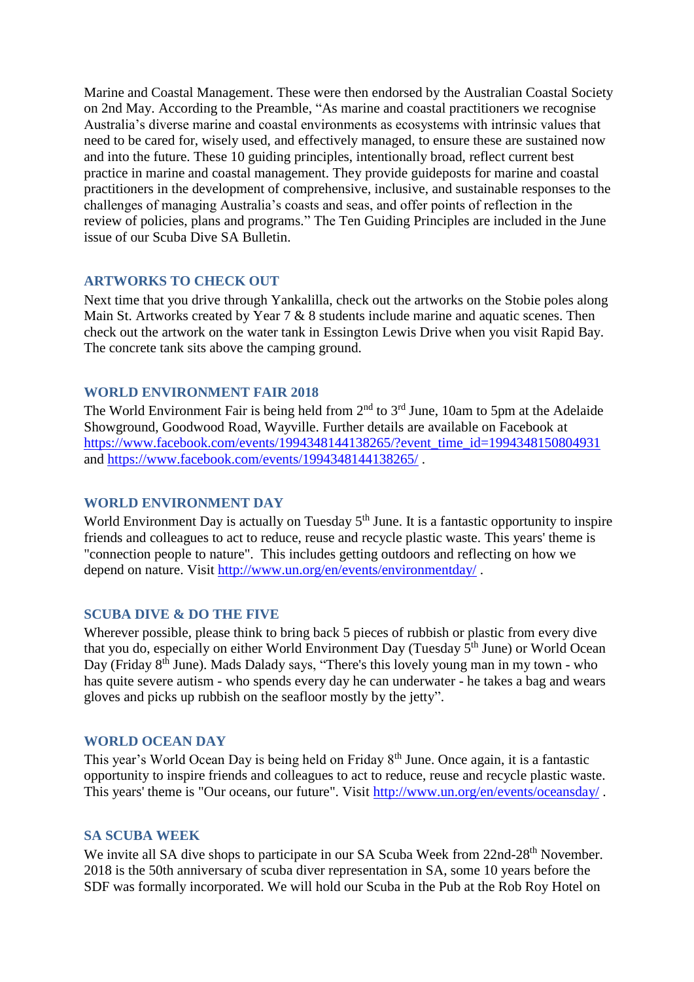Marine and Coastal Management. These were then endorsed by the Australian Coastal Society on 2nd May. According to the Preamble, "As marine and coastal practitioners we recognise Australia's diverse marine and coastal environments as ecosystems with intrinsic values that need to be cared for, wisely used, and effectively managed, to ensure these are sustained now and into the future. These 10 guiding principles, intentionally broad, reflect current best practice in marine and coastal management. They provide guideposts for marine and coastal practitioners in the development of comprehensive, inclusive, and sustainable responses to the challenges of managing Australia's coasts and seas, and offer points of reflection in the review of policies, plans and programs." The Ten Guiding Principles are included in the June issue of our Scuba Dive SA Bulletin.

### **ARTWORKS TO CHECK OUT**

Next time that you drive through Yankalilla, check out the artworks on the Stobie poles along Main St. Artworks created by Year 7 & 8 students include marine and aquatic scenes. Then check out the artwork on the water tank in Essington Lewis Drive when you visit Rapid Bay. The concrete tank sits above the camping ground.

### **WORLD ENVIRONMENT FAIR 2018**

The World Environment Fair is being held from 2<sup>nd</sup> to 3<sup>rd</sup> June, 10am to 5pm at the Adelaide Showground, Goodwood Road, Wayville. Further details are available on Facebook at [https://www.facebook.com/events/1994348144138265/?event\\_time\\_id=1994348150804931](https://www.facebook.com/events/1994348144138265/?event_time_id=1994348150804931) and<https://www.facebook.com/events/1994348144138265/> .

## **WORLD ENVIRONMENT DAY**

World Environment Day is actually on Tuesday 5<sup>th</sup> June. It is a fantastic opportunity to inspire friends and colleagues to act to reduce, reuse and recycle plastic waste. This years' theme is "connection people to nature". This includes getting outdoors and reflecting on how we depend on nature. Visit<http://www.un.org/en/events/environmentday/>.

### **SCUBA DIVE & DO THE FIVE**

Wherever possible, please think to bring back 5 pieces of rubbish or plastic from every dive that you do, especially on either World Environment Day (Tuesday 5<sup>th</sup> June) or World Ocean Day (Friday 8<sup>th</sup> June). Mads Dalady says, "There's this lovely young man in my town - who has quite severe autism - who spends every day he can underwater - he takes a bag and wears gloves and picks up rubbish on the seafloor mostly by the jetty".

### **WORLD OCEAN DAY**

This year's World Ocean Day is being held on Friday 8<sup>th</sup> June. Once again, it is a fantastic opportunity to inspire friends and colleagues to act to reduce, reuse and recycle plastic waste. This years' theme is "Our oceans, our future". Visit<http://www.un.org/en/events/oceansday/> .

### **SA SCUBA WEEK**

We invite all SA dive shops to participate in our SA Scuba Week from 22nd-28<sup>th</sup> November. 2018 is the 50th anniversary of scuba diver representation in SA, some 10 years before the SDF was formally incorporated. We will hold our Scuba in the Pub at the Rob Roy Hotel on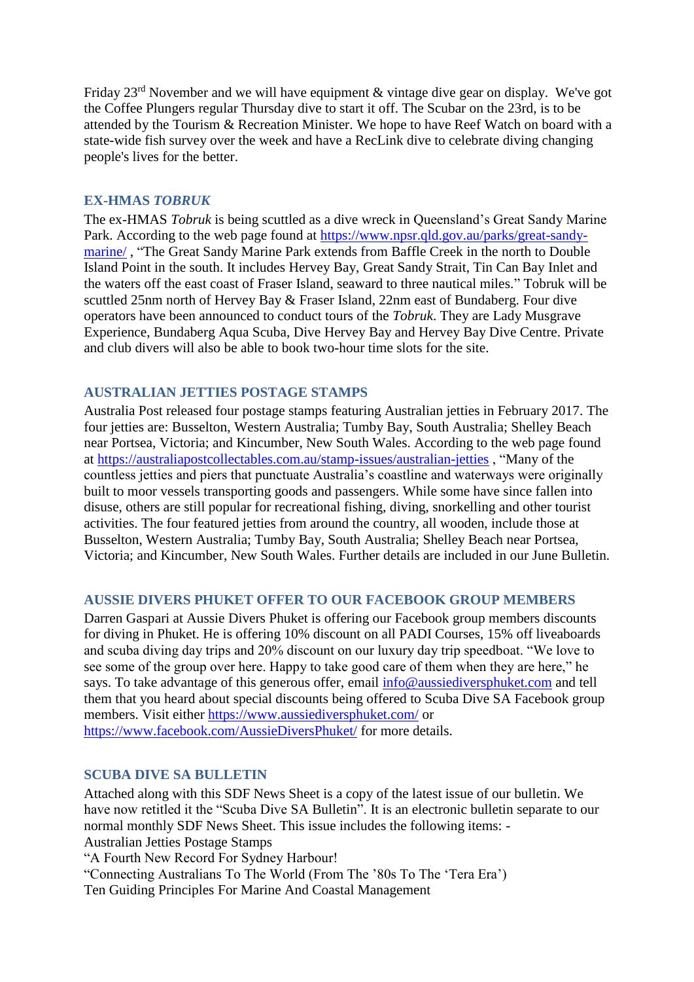Friday 23rd November and we will have equipment & vintage dive gear on display. We've got the Coffee Plungers regular Thursday dive to start it off. The Scubar on the 23rd, is to be attended by the Tourism & Recreation Minister. We hope to have Reef Watch on board with a state-wide fish survey over the week and have a RecLink dive to celebrate diving changing people's lives for the better.

### **EX-HMAS** *TOBRUK*

The ex-HMAS *Tobruk* is being scuttled as a dive wreck in Queensland's Great Sandy Marine Park. According to the web page found at [https://www.npsr.qld.gov.au/parks/great-sandy](https://www.npsr.qld.gov.au/parks/great-sandy-marine/)[marine/](https://www.npsr.qld.gov.au/parks/great-sandy-marine/) , "The Great Sandy Marine Park extends from Baffle Creek in the north to Double Island Point in the south. It includes Hervey Bay, Great Sandy Strait, Tin Can Bay Inlet and the waters off the east coast of Fraser Island, seaward to three nautical miles." Tobruk will be scuttled 25nm north of Hervey Bay & Fraser Island, 22nm east of Bundaberg. Four dive operators have been announced to conduct tours of the *Tobruk*. They are Lady Musgrave Experience, Bundaberg Aqua Scuba, Dive Hervey Bay and Hervey Bay Dive Centre. Private and club divers will also be able to book two-hour time slots for the site.

### **AUSTRALIAN JETTIES POSTAGE STAMPS**

Australia Post released four postage stamps featuring Australian jetties in February 2017. The four jetties are: Busselton, Western Australia; Tumby Bay, South Australia; Shelley Beach near Portsea, Victoria; and Kincumber, New South Wales. According to the web page found at<https://australiapostcollectables.com.au/stamp-issues/australian-jetties> , "Many of the countless jetties and piers that punctuate Australia's coastline and waterways were originally built to moor vessels transporting goods and passengers. While some have since fallen into disuse, others are still popular for recreational fishing, diving, snorkelling and other tourist activities. The four featured jetties from around the country, all wooden, include those at Busselton, Western Australia; Tumby Bay, South Australia; Shelley Beach near Portsea, Victoria; and Kincumber, New South Wales. Further details are included in our June Bulletin.

## **AUSSIE DIVERS PHUKET OFFER TO OUR FACEBOOK GROUP MEMBERS**

Darren Gaspari at Aussie Divers Phuket is offering our Facebook group members discounts for diving in Phuket. He is offering 10% discount on all PADI Courses, 15% off liveaboards and scuba diving day trips and 20% discount on our luxury day trip speedboat. "We love to see some of the group over here. Happy to take good care of them when they are here," he says. To take advantage of this generous offer, email [info@aussiediversphuket.com](mailto:info@aussiediversphuket.com) and tell them that you heard about special discounts being offered to Scuba Dive SA Facebook group members. Visit either<https://www.aussiediversphuket.com/> or <https://www.facebook.com/AussieDiversPhuket/> for more details.

### **SCUBA DIVE SA BULLETIN**

Attached along with this SDF News Sheet is a copy of the latest issue of our bulletin. We have now retitled it the "Scuba Dive SA Bulletin". It is an electronic bulletin separate to our normal monthly SDF News Sheet. This issue includes the following items: - Australian Jetties Postage Stamps

"A Fourth New Record For Sydney Harbour!

"Connecting Australians To The World (From The '80s To The 'Tera Era')

Ten Guiding Principles For Marine And Coastal Management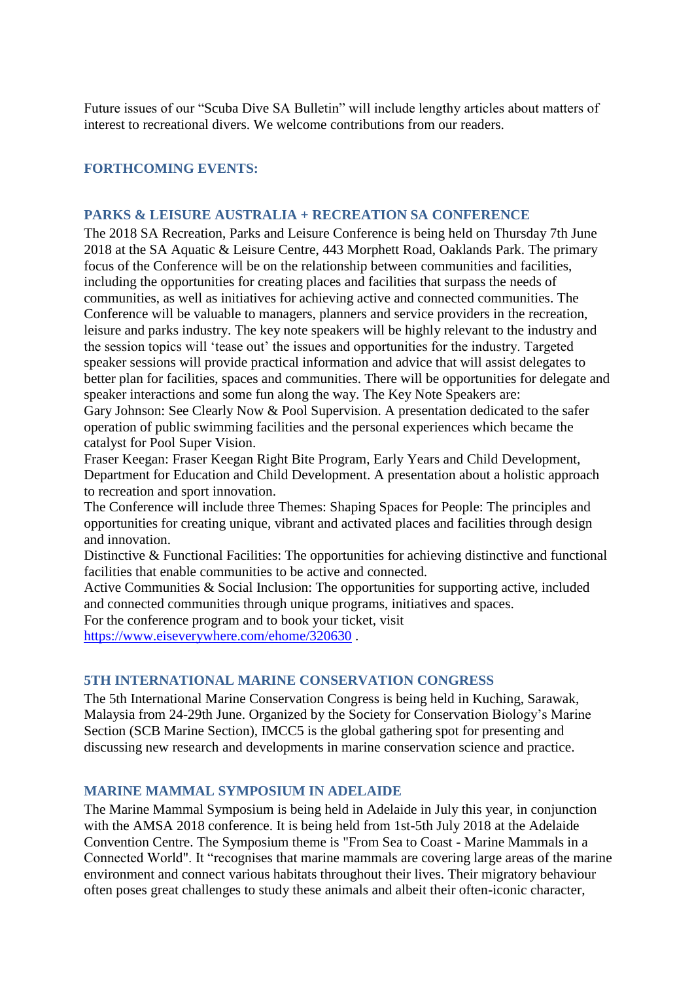Future issues of our "Scuba Dive SA Bulletin" will include lengthy articles about matters of interest to recreational divers. We welcome contributions from our readers.

### **FORTHCOMING EVENTS:**

### **PARKS & LEISURE AUSTRALIA + RECREATION SA CONFERENCE**

The 2018 SA Recreation, Parks and Leisure Conference is being held on Thursday 7th June 2018 at the SA Aquatic & Leisure Centre, 443 Morphett Road, Oaklands Park. The primary focus of the Conference will be on the relationship between communities and facilities, including the opportunities for creating places and facilities that surpass the needs of communities, as well as initiatives for achieving active and connected communities. The Conference will be valuable to managers, planners and service providers in the recreation, leisure and parks industry. The key note speakers will be highly relevant to the industry and the session topics will 'tease out' the issues and opportunities for the industry. Targeted speaker sessions will provide practical information and advice that will assist delegates to better plan for facilities, spaces and communities. There will be opportunities for delegate and speaker interactions and some fun along the way. The Key Note Speakers are:

Gary Johnson: See Clearly Now & Pool Supervision. A presentation dedicated to the safer operation of public swimming facilities and the personal experiences which became the catalyst for Pool Super Vision.

Fraser Keegan: Fraser Keegan Right Bite Program, Early Years and Child Development, Department for Education and Child Development. A presentation about a holistic approach to recreation and sport innovation.

The Conference will include three Themes: Shaping Spaces for People: The principles and opportunities for creating unique, vibrant and activated places and facilities through design and innovation.

Distinctive & Functional Facilities: The opportunities for achieving distinctive and functional facilities that enable communities to be active and connected.

Active Communities & Social Inclusion: The opportunities for supporting active, included and connected communities through unique programs, initiatives and spaces. For the conference program and to book your ticket, visit

<https://www.eiseverywhere.com/ehome/320630> .

### **5TH INTERNATIONAL MARINE CONSERVATION CONGRESS**

The 5th International Marine Conservation Congress is being held in Kuching, Sarawak, Malaysia from 24-29th June. Organized by the Society for Conservation Biology's Marine Section (SCB Marine Section), IMCC5 is the global gathering spot for presenting and discussing new research and developments in marine conservation science and practice.

### **MARINE MAMMAL SYMPOSIUM IN ADELAIDE**

The Marine Mammal Symposium is being held in Adelaide in July this year, in conjunction with the AMSA 2018 conference. It is being held from 1st-5th July 2018 at the Adelaide Convention Centre. The Symposium theme is "From Sea to Coast - Marine Mammals in a Connected World". It "recognises that marine mammals are covering large areas of the marine environment and connect various habitats throughout their lives. Their migratory behaviour often poses great challenges to study these animals and albeit their often-iconic character,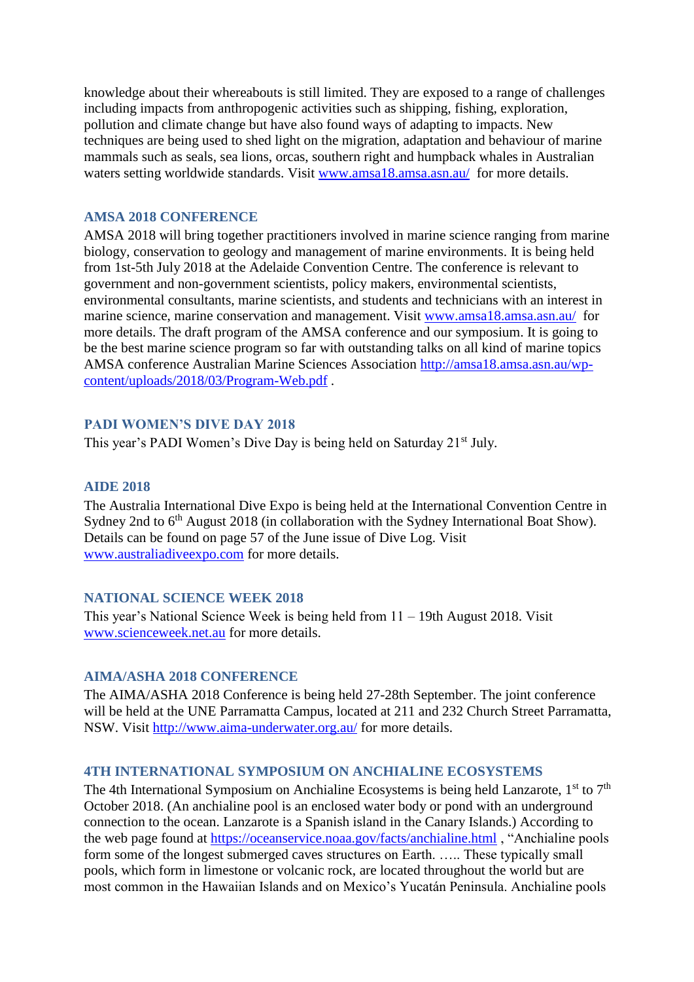knowledge about their whereabouts is still limited. They are exposed to a range of challenges including impacts from anthropogenic activities such as shipping, fishing, exploration, pollution and climate change but have also found ways of adapting to impacts. New techniques are being used to shed light on the migration, adaptation and behaviour of marine mammals such as seals, sea lions, orcas, southern right and humpback whales in Australian waters setting worldwide standards. Visit [www.amsa18.amsa.asn.au/](http://www.amsa18.amsa.asn.au/) for more details.

#### **AMSA 2018 CONFERENCE**

AMSA 2018 will bring together practitioners involved in marine science ranging from marine biology, conservation to geology and management of marine environments. It is being held from 1st-5th July 2018 at the Adelaide Convention Centre. The conference is relevant to government and non-government scientists, policy makers, environmental scientists, environmental consultants, marine scientists, and students and technicians with an interest in marine science, marine conservation and management. Visit [www.amsa18.amsa.asn.au/](http://www.amsa18.amsa.asn.au/) for more details. The draft program of the AMSA conference and our symposium. It is going to be the best marine science program so far with outstanding talks on all kind of marine topics AMSA conference Australian Marine Sciences Association [http://amsa18.amsa.asn.au/wp](http://amsa18.amsa.asn.au/wp-content/uploads/2018/03/Program-Web.pdf)[content/uploads/2018/03/Program-Web.pdf](http://amsa18.amsa.asn.au/wp-content/uploads/2018/03/Program-Web.pdf) .

#### **PADI WOMEN'S DIVE DAY 2018**

This year's PADI Women's Dive Day is being held on Saturday 21<sup>st</sup> July.

#### **AIDE 2018**

The Australia International Dive Expo is being held at the International Convention Centre in Sydney 2nd to 6<sup>th</sup> August 2018 (in collaboration with the Sydney International Boat Show). Details can be found on page 57 of the June issue of Dive Log. Visit [www.australiadiveexpo.com](http://www.australiadiveexpo.com/) for more details.

### **NATIONAL SCIENCE WEEK 2018**

This year's National Science Week is being held from 11 – 19th August 2018. Visit [www.scienceweek.net.au](http://www.scienceweek.net.au/) for more details.

#### **AIMA/ASHA 2018 CONFERENCE**

The AIMA/ASHA 2018 Conference is being held 27-28th September. The joint conference will be held at the UNE Parramatta Campus, located at 211 and 232 Church Street Parramatta, NSW. Visit<http://www.aima-underwater.org.au/> for more details.

### **4TH INTERNATIONAL SYMPOSIUM ON ANCHIALINE ECOSYSTEMS**

The 4th International Symposium on Anchialine Ecosystems is being held Lanzarote,  $1<sup>st</sup>$  to  $7<sup>th</sup>$ October 2018. (An anchialine pool is an enclosed water body or pond with an underground connection to the ocean. Lanzarote is a Spanish island in the Canary Islands.) According to the web page found at<https://oceanservice.noaa.gov/facts/anchialine.html> , "Anchialine pools form some of the longest submerged caves structures on Earth. ….. These typically small pools, which form in limestone or volcanic rock, are located throughout the world but are most common in the Hawaiian Islands and on Mexico's Yucatán Peninsula. Anchialine pools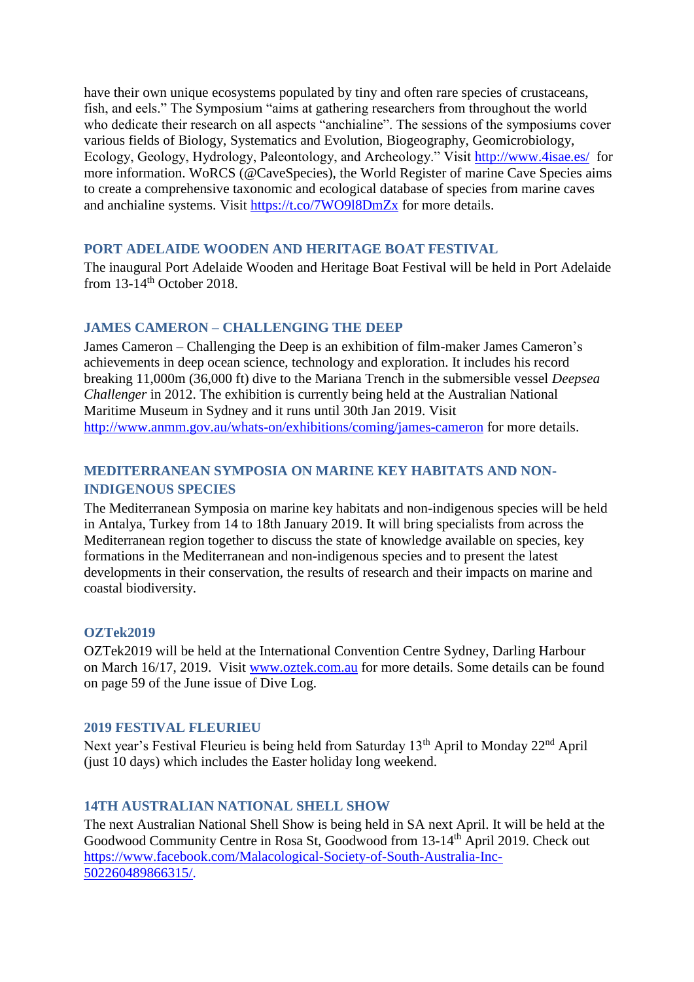have their own unique ecosystems populated by tiny and often rare species of crustaceans, fish, and eels." The Symposium "aims at gathering researchers from throughout the world who dedicate their research on all aspects "anchialine". The sessions of the symposiums cover various fields of Biology, Systematics and Evolution, Biogeography, Geomicrobiology, Ecology, Geology, Hydrology, Paleontology, and Archeology." Visit<http://www.4isae.es/>for more information. WoRCS (@CaveSpecies), the World Register of marine Cave Species aims to create a comprehensive taxonomic and ecological database of species from marine caves and anchialine systems. Visit<https://t.co/7WO9l8DmZx> for more details.

### **PORT ADELAIDE WOODEN AND HERITAGE BOAT FESTIVAL**

The inaugural Port Adelaide Wooden and Heritage Boat Festival will be held in Port Adelaide from 13-14<sup>th</sup> October 2018.

## **JAMES CAMERON – CHALLENGING THE DEEP**

James Cameron – Challenging the Deep is an exhibition of film-maker James Cameron's achievements in deep ocean science, technology and exploration. It includes his record breaking 11,000m (36,000 ft) dive to the Mariana Trench in the submersible vessel *Deepsea Challenger* in 2012. The exhibition is currently being held at the Australian National Maritime Museum in Sydney and it runs until 30th Jan 2019. Visit <http://www.anmm.gov.au/whats-on/exhibitions/coming/james-cameron> for more details.

# **MEDITERRANEAN SYMPOSIA ON MARINE KEY HABITATS AND NON-INDIGENOUS SPECIES**

The Mediterranean Symposia on marine key habitats and non-indigenous species will be held in Antalya, Turkey from 14 to 18th January 2019. It will bring specialists from across the Mediterranean region together to discuss the state of knowledge available on species, key formations in the Mediterranean and non-indigenous species and to present the latest developments in their conservation, the results of research and their impacts on marine and coastal biodiversity.

### **OZTek2019**

OZTek2019 will be held at the International Convention Centre Sydney, Darling Harbour on March 16/17, 2019. Visit [www.oztek.com.au](http://www.oztek.com.au/) for more details. Some details can be found on page 59 of the June issue of Dive Log.

### **2019 FESTIVAL FLEURIEU**

Next year's Festival Fleurieu is being held from Saturday 13<sup>th</sup> April to Monday 22<sup>nd</sup> April (just 10 days) which includes the Easter holiday long weekend.

## **14TH AUSTRALIAN NATIONAL SHELL SHOW**

The next Australian National Shell Show is being held in SA next April. It will be held at the Goodwood Community Centre in Rosa St, Goodwood from 13-14th April 2019. Check out [https://www.facebook.com/Malacological-Society-of-South-Australia-Inc-](https://www.facebook.com/Malacological-Society-of-South-Australia-Inc-502260489866315/)[502260489866315/.](https://www.facebook.com/Malacological-Society-of-South-Australia-Inc-502260489866315/)